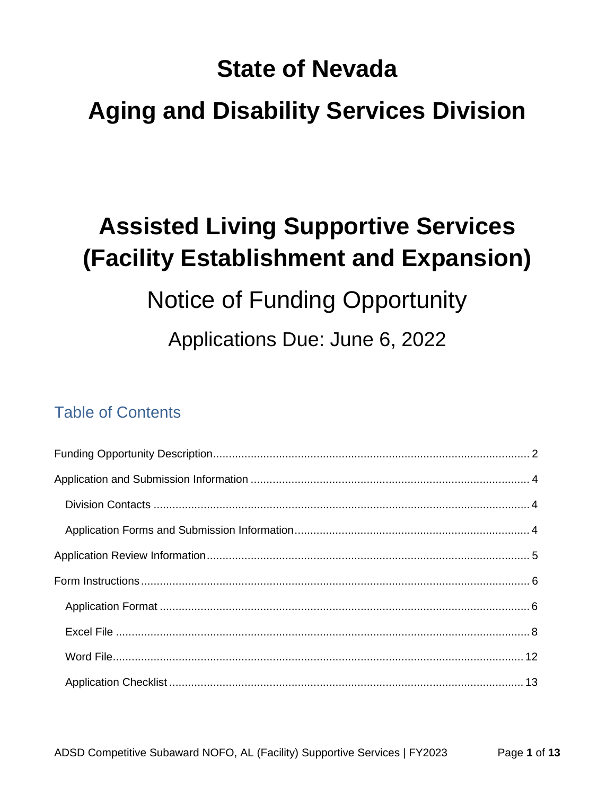# **State of Nevada**

# **Aging and Disability Services Division**

# **Assisted Living Supportive Services** (Facility Establishment and Expansion)

# **Notice of Funding Opportunity**

Applications Due: June 6, 2022

## **Table of Contents**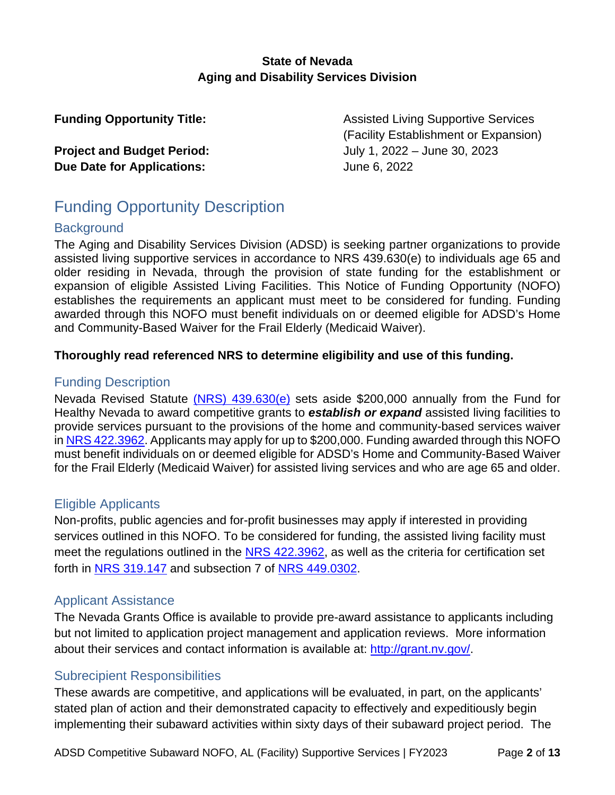## **State of Nevada Aging and Disability Services Division**

**Due Date for Applications:** June 6, 2022

**Funding Opportunity Title:** Assisted Living Supportive Services (Facility Establishment or Expansion) **Project and Budget Period:** July 1, 2022 – June 30, 2023

## <span id="page-1-0"></span>Funding Opportunity Description

## **Background**

The Aging and Disability Services Division (ADSD) is seeking partner organizations to provide assisted living supportive services in accordance to NRS 439.630(e) to individuals age 65 and older residing in Nevada, through the provision of state funding for the establishment or expansion of eligible Assisted Living Facilities. This Notice of Funding Opportunity (NOFO) establishes the requirements an applicant must meet to be considered for funding. Funding awarded through this NOFO must benefit individuals on or deemed eligible for ADSD's Home and Community-Based Waiver for the Frail Elderly (Medicaid Waiver).

## **Thoroughly read referenced NRS to determine eligibility and use of this funding.**

## Funding Description

Nevada Revised Statute [\(NRS\) 439.630\(e\)](https://www.leg.state.nv.us/nrs/NRS-439.html#NRS439Sec630) sets aside \$200,000 annually from the Fund for Healthy Nevada to award competitive grants to *establish or expand* assisted living facilities to provide services pursuant to the provisions of the home and community-based services waiver in [NRS 422.3962.](https://www.leg.state.nv.us/NRS/NRS-422.html#NRS422Sec3962) Applicants may apply for up to \$200,000. Funding awarded through this NOFO must benefit individuals on or deemed eligible for ADSD's Home and Community-Based Waiver for the Frail Elderly (Medicaid Waiver) for assisted living services and who are age 65 and older.

## Eligible Applicants

Non-profits, public agencies and for-profit businesses may apply if interested in providing services outlined in this NOFO. To be considered for funding, the assisted living facility must meet the regulations outlined in the [NRS 422.3962,](https://www.leg.state.nv.us/NRS/NRS-422.html#NRS422Sec3962) as well as the criteria for certification set forth in [NRS 319.147](https://www.leg.state.nv.us/NRS/NRS-319.html#NRS319Sec147) and subsection 7 of [NRS 449.0302.](https://www.leg.state.nv.us/NRS/NRS-449.html#NRS449Sec0302)

## Applicant Assistance

about their services and contact information is available at:<http://grant.nv.gov/>. The Nevada Grants Office is available to provide pre-award assistance to applicants including but not limited to application project management and application reviews. More information

## Subrecipient Responsibilities

These awards are competitive, and applications will be evaluated, in part, on the applicants' stated plan of action and their demonstrated capacity to effectively and expeditiously begin implementing their subaward activities within sixty days of their subaward project period. The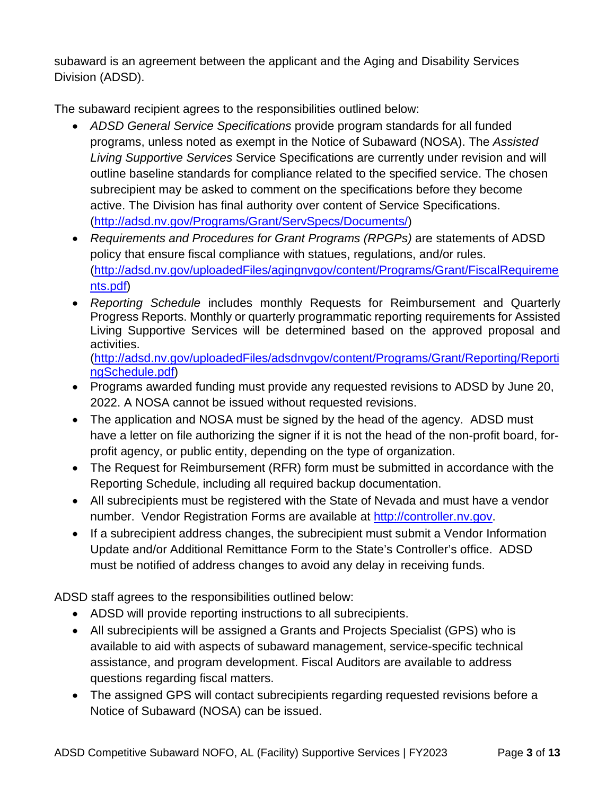subaward is an agreement between the applicant and the Aging and Disability Services Division (ADSD).

The subaward recipient agrees to the responsibilities outlined below:

- *ADSD General Service Specifications* provide program standards for all funded programs, unless noted as exempt in the Notice of Subaward (NOSA). The *Assisted Living Supportive Services* Service Specifications are currently under revision and will outline baseline standards for compliance related to the specified service. The chosen subrecipient may be asked to comment on the specifications before they become active. The Division has final authority over content of Service Specifications. [\(http://adsd.nv.gov/Programs/Grant/ServSpecs/Documents/\)](http://adsd.nv.gov/Programs/Grant/ServSpecs/Documents/)
- <u>[nts.pdf](http://adsd.nv.gov/uploadedFiles/agingnvgov/content/Programs/Grant/FiscalRequirements.pdf)</u>) • *Requirements and Procedures for Grant Programs (RPGPs)* are statements of ADSD policy that ensure fiscal compliance with statues, regulations, and/or rules. [\(http://adsd.nv.gov/uploadedFiles/agingnvgov/content/Programs/Grant/FiscalRequireme](http://adsd.nv.gov/uploadedFiles/agingnvgov/content/Programs/Grant/FiscalRequirements.pdf)
- *Reporting Schedule* includes monthly Requests for Reimbursement and Quarterly Progress Reports. Monthly or quarterly programmatic reporting requirements for Assisted Living Supportive Services will be determined based on the approved proposal and activities.

) [ngSchedule.pdf](http://adsd.nv.gov/uploadedFiles/adsdnvgov/content/Programs/Grant/Reporting/ReportingSchedule.pdf) [\(http://adsd.nv.gov/uploadedFiles/adsdnvgov/content/Programs/Grant/Reporting/Reporti](http://adsd.nv.gov/uploadedFiles/adsdnvgov/content/Programs/Grant/Reporting/ReportingSchedule.pdf)

- Programs awarded funding must provide any requested revisions to ADSD by June 20, 2022. A NOSA cannot be issued without requested revisions.
- The application and NOSA must be signed by the head of the agency. ADSD must have a letter on file authorizing the signer if it is not the head of the non-profit board, forprofit agency, or public entity, depending on the type of organization.
- The Request for Reimbursement (RFR) form must be submitted in accordance with the Reporting Schedule, including all required backup documentation.
- All subrecipients must be registered with the State of Nevada and must have a vendor number. Vendor Registration Forms are available at [http://controller.nv.gov.](http://controller.nv.gov/)
- If a subrecipient address changes, the subrecipient must submit a Vendor Information Update and/or Additional Remittance Form to the State's Controller's office. ADSD must be notified of address changes to avoid any delay in receiving funds.

ADSD staff agrees to the responsibilities outlined below:

- ADSD will provide reporting instructions to all subrecipients.
- All subrecipients will be assigned a Grants and Projects Specialist (GPS) who is available to aid with aspects of subaward management, service-specific technical assistance, and program development. Fiscal Auditors are available to address questions regarding fiscal matters.
- The assigned GPS will contact subrecipients regarding requested revisions before a Notice of Subaward (NOSA) can be issued.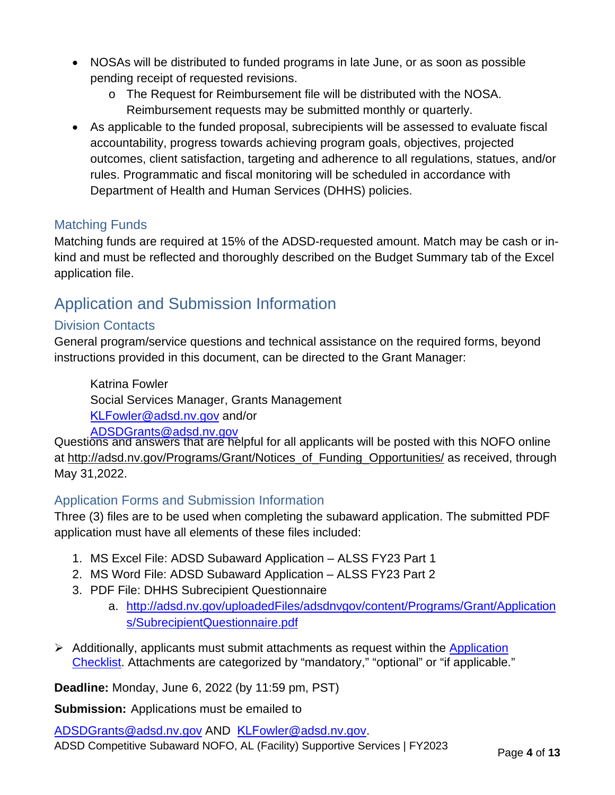- NOSAs will be distributed to funded programs in late June, or as soon as possible pending receipt of requested revisions.
	- o The Request for Reimbursement file will be distributed with the NOSA. Reimbursement requests may be submitted monthly or quarterly.
- As applicable to the funded proposal, subrecipients will be assessed to evaluate fiscal accountability, progress towards achieving program goals, objectives, projected outcomes, client satisfaction, targeting and adherence to all regulations, statues, and/or rules. Programmatic and fiscal monitoring will be scheduled in accordance with Department of Health and Human Services (DHHS) policies.

## Matching Funds

Matching funds are required at 15% of the ADSD-requested amount. Match may be cash or inkind and must be reflected and thoroughly described on the Budget Summary tab of the Excel application file.

## <span id="page-3-0"></span>Application and Submission Information

## <span id="page-3-1"></span>Division Contacts

General program/service questions and technical assistance on the required forms, beyond instructions provided in this document, can be directed to the Grant Manager:

Katrina Fowler Social Services Manager, Grants Management KLF[owler@adsd.nv.go](mailto:kfowler@adsd.nv.gov)v and[/or](mailto:ADSDGrants@adsd.nv.gov)  ADSDGrants@adsd.nv.gov

Questions and answers that are helpful for all applicants will be posted with this NOFO online at [http://adsd.nv.gov/Programs/Grant/Notices\\_of\\_Funding\\_Opportunities/](http://adsd.nv.gov/Programs/Grant/Notices_of_Funding_Opportunities/) as received, through May 31,2022.

## <span id="page-3-2"></span>Application Forms and Submission Information

Three (3) files are to be used when completing the subaward application. The submitted PDF application must have all elements of these files included:

- 1. MS Excel File: ADSD Subaward Application ALSS FY23 Part 1
- 2. MS Word File: ADSD Subaward Application ALSS FY23 Part 2
- 3. PDF File: DHHS Subrecipient Questionnaire
	- a. [http://adsd.nv.gov/uploadedFiles/adsdnvgov/content/Programs/Grant/Application](http://adsd.nv.gov/uploadedFiles/adsdnvgov/content/Programs/Grant/Applications/SubrecipientQuestionnaire.pdf) [s/SubrecipientQuestionnaire.pdf](http://adsd.nv.gov/uploadedFiles/adsdnvgov/content/Programs/Grant/Applications/SubrecipientQuestionnaire.pdf)
- $\triangleright$  Additionally, applicants must submit attachments as request within the [Application](#page-12-0) [Checklist.](#page-12-0) Attachments are categorized by "mandatory," "optional" or "if applicable."

**Deadline:** Monday, June 6, 2022 (by 11:59 pm, PST)

**Submission:** Applications must be emailed to

ADSDGrants[@adsd.nv.gov](mailto:kfowler@adsd.nv.gov) AND KLFowler@adsd.nv.gov. ADSD Competitive Subaward NOFO, AL (Facility) Supportive Services | FY2023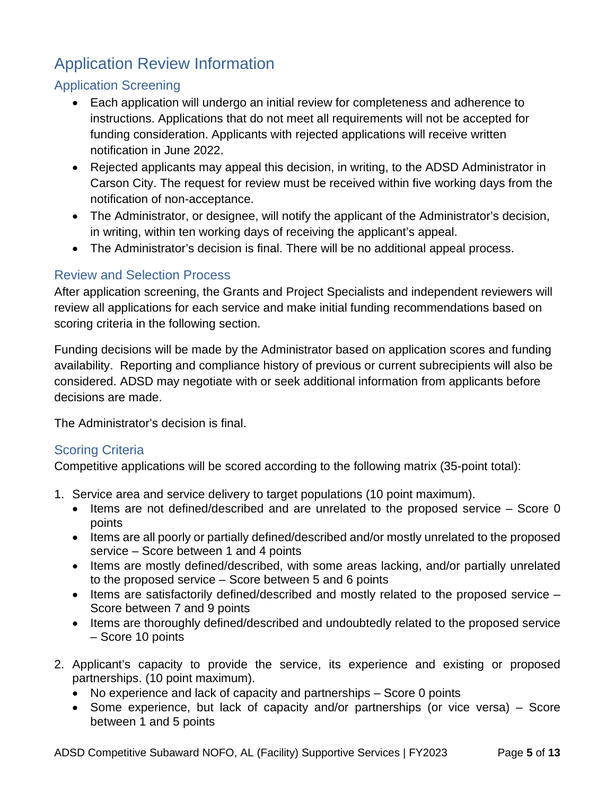## <span id="page-4-0"></span>Application Review Information

## Application Screening

- Each application will undergo an initial review for completeness and adherence to instructions. Applications that do not meet all requirements will not be accepted for funding consideration. Applicants with rejected applications will receive written notification in June 2022.
- Rejected applicants may appeal this decision, in writing, to the ADSD Administrator in Carson City. The request for review must be received within five working days from the notification of non-acceptance.
- The Administrator, or designee, will notify the applicant of the Administrator's decision, in writing, within ten working days of receiving the applicant's appeal.
- The Administrator's decision is final. There will be no additional appeal process.

## Review and Selection Process

After application screening, the Grants and Project Specialists and independent reviewers will review all applications for each service and make initial funding recommendations based on scoring criteria in the following section.

Funding decisions will be made by the Administrator based on application scores and funding availability. Reporting and compliance history of previous or current subrecipients will also be considered. ADSD may negotiate with or seek additional information from applicants before decisions are made.

The Administrator's decision is final.

## Scoring Criteria

Competitive applications will be scored according to the following matrix (35-point total):

- 1. Service area and service delivery to target populations (10 point maximum).
	- Items are not defined/described and are unrelated to the proposed service Score 0 points
	- Items are all poorly or partially defined/described and/or mostly unrelated to the proposed service – Score between 1 and 4 points
	- Items are mostly defined/described, with some areas lacking, and/or partially unrelated to the proposed service – Score between 5 and 6 points
	- Items are satisfactorily defined/described and mostly related to the proposed service Score between 7 and 9 points
	- Items are thoroughly defined/described and undoubtedly related to the proposed service – Score 10 points
- 2. Applicant's capacity to provide the service, its experience and existing or proposed partnerships. (10 point maximum).
	- No experience and lack of capacity and partnerships Score 0 points
	- Some experience, but lack of capacity and/or partnerships (or vice versa) Score between 1 and 5 points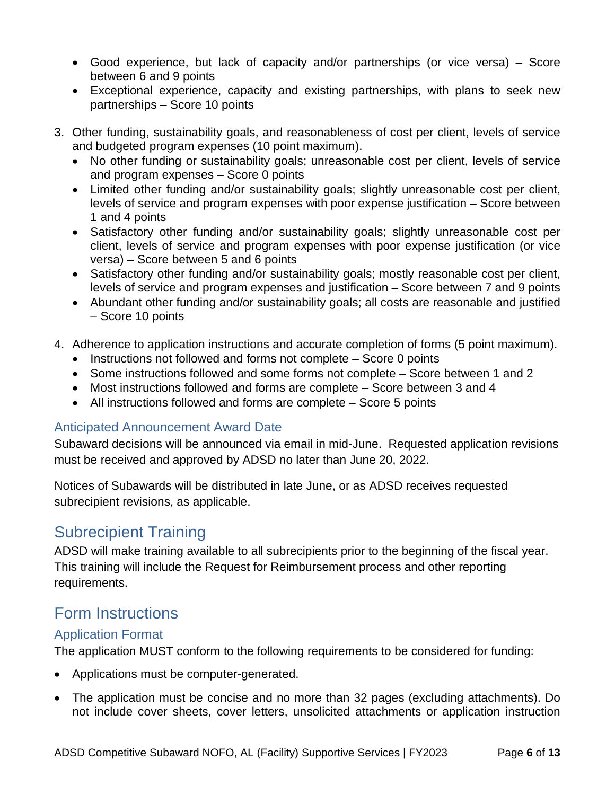- Good experience, but lack of capacity and/or partnerships (or vice versa) Score between 6 and 9 points
- Exceptional experience, capacity and existing partnerships, with plans to seek new partnerships – Score 10 points
- 3. Other funding, sustainability goals, and reasonableness of cost per client, levels of service and budgeted program expenses (10 point maximum).
	- No other funding or sustainability goals; unreasonable cost per client, levels of service and program expenses – Score 0 points
	- Limited other funding and/or sustainability goals; slightly unreasonable cost per client, levels of service and program expenses with poor expense justification – Score between 1 and 4 points
	- Satisfactory other funding and/or sustainability goals; slightly unreasonable cost per client, levels of service and program expenses with poor expense justification (or vice versa) – Score between 5 and 6 points
	- Satisfactory other funding and/or sustainability goals; mostly reasonable cost per client, levels of service and program expenses and justification – Score between 7 and 9 points
	- Abundant other funding and/or sustainability goals; all costs are reasonable and justified – Score 10 points
- 4. Adherence to application instructions and accurate completion of forms (5 point maximum).
	- Instructions not followed and forms not complete Score 0 points
	- Some instructions followed and some forms not complete Score between 1 and 2
	- Most instructions followed and forms are complete Score between 3 and 4
	- All instructions followed and forms are complete Score 5 points

## Anticipated Announcement Award Date

Subaward decisions will be announced via email in mid-June. Requested application revisions must be received and approved by ADSD no later than June 20, 2022.

Notices of Subawards will be distributed in late June, or as ADSD receives requested subrecipient revisions, as applicable.

## Subrecipient Training

ADSD will make training available to all subrecipients prior to the beginning of the fiscal year. This training will include the Request for Reimbursement process and other reporting requirements.

## <span id="page-5-0"></span>Form Instructions

## <span id="page-5-1"></span>Application Format

The application MUST conform to the following requirements to be considered for funding:

- Applications must be computer-generated.
- The application must be concise and no more than 32 pages (excluding attachments). Do not include cover sheets, cover letters, unsolicited attachments or application instruction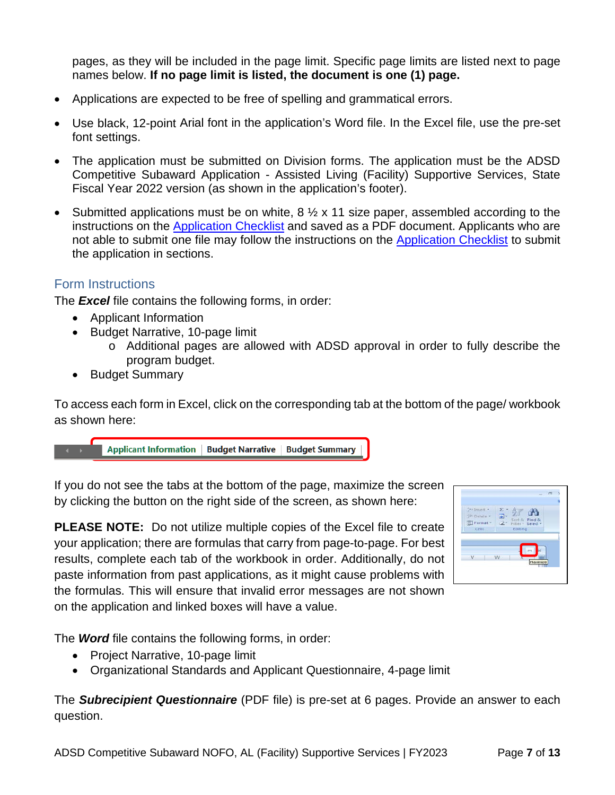pages, as they will be included in the page limit. Specific page limits are listed next to page names below. **If no page limit is listed, the document is one (1) page.**

- Applications are expected to be free of spelling and grammatical errors.
- Use black, 12-point Arial font in the application's Word file. In the Excel file, use the pre-set font settings.
- The application must be submitted on Division forms. The application must be the ADSD Competitive Subaward Application - Assisted Living (Facility) Supportive Services, State Fiscal Year 2022 version (as shown in the application's footer).
- Submitted applications must be on white,  $8 \frac{1}{2} \times 11$  size paper, assembled according to the instructions on the [Application Checklist](#page-12-0) and saved as a PDF document. Applicants who are not able to submit one file may follow the instructions on the [Application Checklist](#page-12-0) to submit the application in sections.

## Form Instructions

The *Excel* file contains the following forms, in order:

- Applicant Information
- Budget Narrative, 10-page limit
	- o Additional pages are allowed with ADSD approval in order to fully describe the program budget.
- Budget Summary

To access each form in Excel, click on the corresponding tab at the bottom of the page/ workbook as shown here:

If you do not see the tabs at the bottom of the page, maximize the screen by clicking the button on the right side of the screen, as shown here:

**PLEASE NOTE:** Do not utilize multiple copies of the Excel file to create your application; there are formulas that carry from page-to-page. For best results, complete each tab of the workbook in order. Additionally, do not paste information from past applications, as it might cause problems with the formulas. This will ensure that invalid error messages are not shown on the application and linked boxes will have a value.



The *Word* file contains the following forms, in order:

- Project Narrative, 10-page limit
- Organizational Standards and Applicant Questionnaire, 4-page limit

The *Subrecipient Questionnaire* (PDF file) is pre-set at 6 pages. Provide an answer to each question.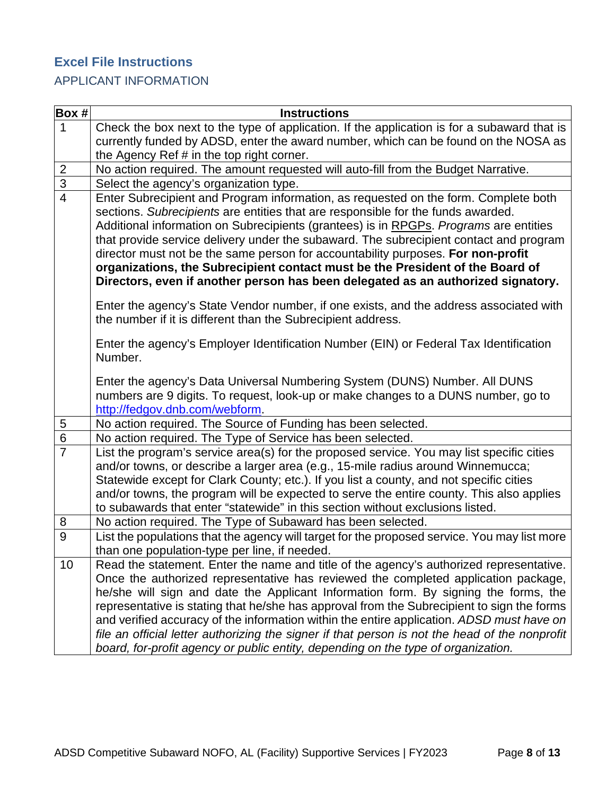## <span id="page-7-0"></span>**Excel File Instructions**

## APPLICANT INFORMATION

| $\vert$ Box # $\vert$ | <b>Instructions</b>                                                                                                                                                                                                                                                                                                                                                                                                                                                                                                                                                                                                                                    |
|-----------------------|--------------------------------------------------------------------------------------------------------------------------------------------------------------------------------------------------------------------------------------------------------------------------------------------------------------------------------------------------------------------------------------------------------------------------------------------------------------------------------------------------------------------------------------------------------------------------------------------------------------------------------------------------------|
| $\mathbf{1}$          | Check the box next to the type of application. If the application is for a subaward that is                                                                                                                                                                                                                                                                                                                                                                                                                                                                                                                                                            |
|                       | currently funded by ADSD, enter the award number, which can be found on the NOSA as                                                                                                                                                                                                                                                                                                                                                                                                                                                                                                                                                                    |
|                       | the Agency Ref # in the top right corner.                                                                                                                                                                                                                                                                                                                                                                                                                                                                                                                                                                                                              |
| $\overline{2}$        | No action required. The amount requested will auto-fill from the Budget Narrative.                                                                                                                                                                                                                                                                                                                                                                                                                                                                                                                                                                     |
| $\overline{3}$        | Select the agency's organization type.                                                                                                                                                                                                                                                                                                                                                                                                                                                                                                                                                                                                                 |
| $\overline{4}$        | Enter Subrecipient and Program information, as requested on the form. Complete both<br>sections. Subrecipients are entities that are responsible for the funds awarded.<br>Additional information on Subrecipients (grantees) is in RPGPs. Programs are entities<br>that provide service delivery under the subaward. The subrecipient contact and program<br>director must not be the same person for accountability purposes. For non-profit<br>organizations, the Subrecipient contact must be the President of the Board of<br>Directors, even if another person has been delegated as an authorized signatory.                                    |
|                       | Enter the agency's State Vendor number, if one exists, and the address associated with<br>the number if it is different than the Subrecipient address.                                                                                                                                                                                                                                                                                                                                                                                                                                                                                                 |
|                       | Enter the agency's Employer Identification Number (EIN) or Federal Tax Identification<br>Number.                                                                                                                                                                                                                                                                                                                                                                                                                                                                                                                                                       |
|                       | Enter the agency's Data Universal Numbering System (DUNS) Number. All DUNS<br>numbers are 9 digits. To request, look-up or make changes to a DUNS number, go to<br>http://fedgov.dnb.com/webform.                                                                                                                                                                                                                                                                                                                                                                                                                                                      |
| $\sqrt{5}$            | No action required. The Source of Funding has been selected.                                                                                                                                                                                                                                                                                                                                                                                                                                                                                                                                                                                           |
| $\overline{6}$        | No action required. The Type of Service has been selected.                                                                                                                                                                                                                                                                                                                                                                                                                                                                                                                                                                                             |
| $\overline{7}$        | List the program's service area(s) for the proposed service. You may list specific cities<br>and/or towns, or describe a larger area (e.g., 15-mile radius around Winnemucca;<br>Statewide except for Clark County; etc.). If you list a county, and not specific cities<br>and/or towns, the program will be expected to serve the entire county. This also applies<br>to subawards that enter "statewide" in this section without exclusions listed.                                                                                                                                                                                                 |
| 8                     | No action required. The Type of Subaward has been selected.                                                                                                                                                                                                                                                                                                                                                                                                                                                                                                                                                                                            |
| $\overline{9}$        | List the populations that the agency will target for the proposed service. You may list more                                                                                                                                                                                                                                                                                                                                                                                                                                                                                                                                                           |
|                       | than one population-type per line, if needed.                                                                                                                                                                                                                                                                                                                                                                                                                                                                                                                                                                                                          |
| 10                    | Read the statement. Enter the name and title of the agency's authorized representative.<br>Once the authorized representative has reviewed the completed application package,<br>he/she will sign and date the Applicant Information form. By signing the forms, the<br>representative is stating that he/she has approval from the Subrecipient to sign the forms<br>and verified accuracy of the information within the entire application. ADSD must have on<br>file an official letter authorizing the signer if that person is not the head of the nonprofit<br>board, for-profit agency or public entity, depending on the type of organization. |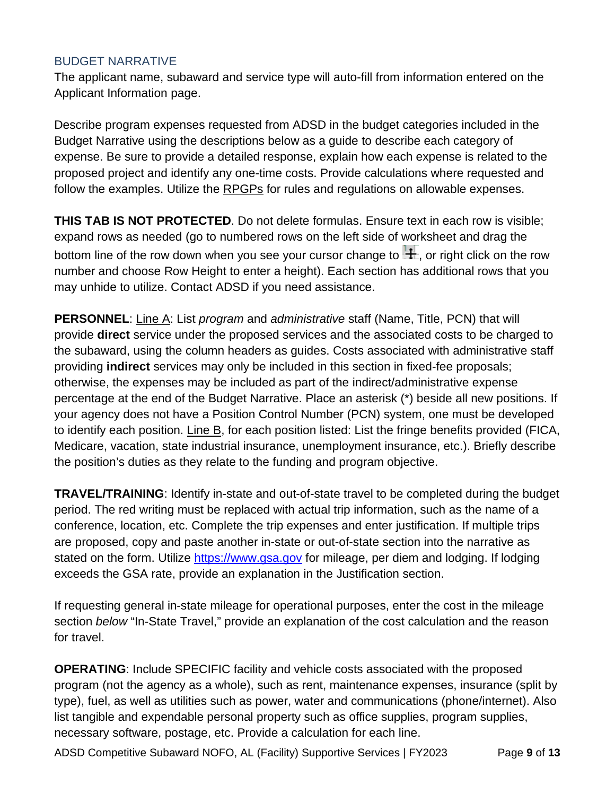## BUDGET NARRATIVE

The applicant name, subaward and service type will auto-fill from information entered on the Applicant Information page.

Describe program expenses requested from ADSD in the budget categories included in the Budget Narrative using the descriptions below as a guide to describe each category of expense. Be sure to provide a detailed response, explain how each expense is related to the proposed project and identify any one-time costs. Provide calculations where requested and follow the examples. Utilize the [RPGPs](http://adsd.nv.gov/uploadedFiles/agingnvgov/content/Programs/Grant/FiscalRequirements.pdf) for rules and regulations on allowable expenses.

**THIS TAB IS NOT PROTECTED**. Do not delete formulas. Ensure text in each row is visible; expand rows as needed (go to numbered rows on the left side of worksheet and drag the bottom line of the row down when you see your cursor change to  $\pm$ , or right click on the row number and choose Row Height to enter a height). Each section has additional rows that you may unhide to utilize. Contact ADSD if you need assistance.

**PERSONNEL**: Line A: List *program* and *administrative* staff (Name, Title, PCN) that will provide **direct** service under the proposed services and the associated costs to be charged to the subaward, using the column headers as guides. Costs associated with administrative staff providing **indirect** services may only be included in this section in fixed-fee proposals; otherwise, the expenses may be included as part of the indirect/administrative expense percentage at the end of the Budget Narrative. Place an asterisk (\*) beside all new positions. If your agency does not have a Position Control Number (PCN) system, one must be developed to identify each position. Line B, for each position listed: List the fringe benefits provided (FICA, Medicare, vacation, state industrial insurance, unemployment insurance, etc.). Briefly describe the position's duties as they relate to the funding and program objective.

**TRAVEL/TRAINING**: Identify in-state and out-of-state travel to be completed during the budget period. The red writing must be replaced with actual trip information, such as the name of a conference, location, etc. Complete the trip expenses and enter justification. If multiple trips are proposed, copy and paste another in-state or out-of-state section into the narrative as stated on the form. Utilize [https://www.gsa.gov](https://www.gsa.gov/) for mileage, per diem and lodging. If lodging exceeds the GSA rate, provide an explanation in the Justification section.

If requesting general in-state mileage for operational purposes, enter the cost in the mileage section *below* "In-State Travel," provide an explanation of the cost calculation and the reason for travel.

**OPERATING**: Include SPECIFIC facility and vehicle costs associated with the proposed program (not the agency as a whole), such as rent, maintenance expenses, insurance (split by type), fuel, as well as utilities such as power, water and communications (phone/internet). Also list tangible and expendable personal property such as office supplies, program supplies, necessary software, postage, etc. Provide a calculation for each line.

ADSD Competitive Subaward NOFO, AL (Facility) Supportive Services | FY2023 Page **9** of **13**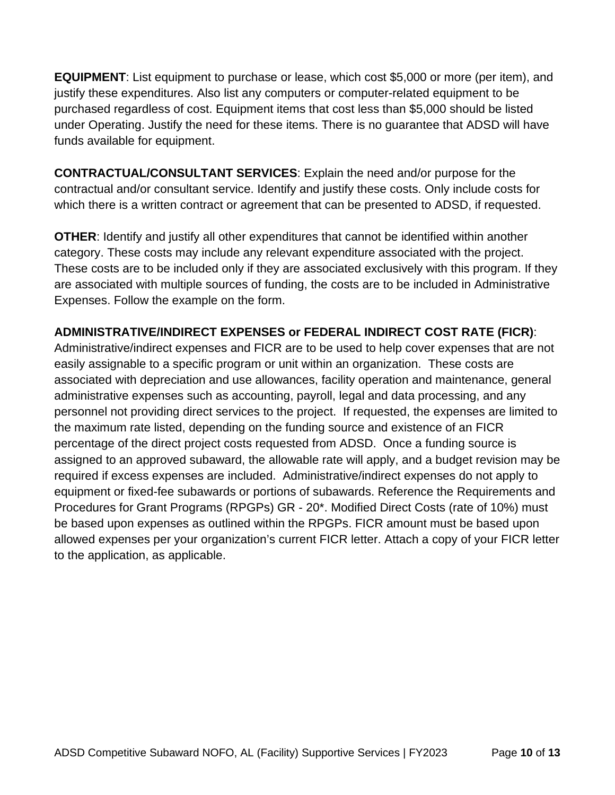**EQUIPMENT**: List equipment to purchase or lease, which cost \$5,000 or more (per item), and justify these expenditures. Also list any computers or computer-related equipment to be purchased regardless of cost. Equipment items that cost less than \$5,000 should be listed under Operating. Justify the need for these items. There is no guarantee that ADSD will have funds available for equipment.

**CONTRACTUAL/CONSULTANT SERVICES**: Explain the need and/or purpose for the contractual and/or consultant service. Identify and justify these costs. Only include costs for which there is a written contract or agreement that can be presented to ADSD, if requested.

**OTHER**: Identify and justify all other expenditures that cannot be identified within another category. These costs may include any relevant expenditure associated with the project. These costs are to be included only if they are associated exclusively with this program. If they are associated with multiple sources of funding, the costs are to be included in Administrative Expenses. Follow the example on the form.

## **ADMINISTRATIVE/INDIRECT EXPENSES or FEDERAL INDIRECT COST RATE (FICR)**:

Administrative/indirect expenses and FICR are to be used to help cover expenses that are not easily assignable to a specific program or unit within an organization. These costs are associated with depreciation and use allowances, facility operation and maintenance, general administrative expenses such as accounting, payroll, legal and data processing, and any personnel not providing direct services to the project. If requested, the expenses are limited to the maximum rate listed, depending on the funding source and existence of an FICR percentage of the direct project costs requested from ADSD. Once a funding source is assigned to an approved subaward, the allowable rate will apply, and a budget revision may be required if excess expenses are included. Administrative/indirect expenses do not apply to equipment or fixed-fee subawards or portions of subawards. Reference the Requirements and Procedures for Grant Programs (RPGPs) GR - 20\*. Modified Direct Costs (rate of 10%) must be based upon expenses as outlined within the RPGPs. FICR amount must be based upon allowed expenses per your organization's current FICR letter. Attach a copy of your FICR letter to the application, as applicable.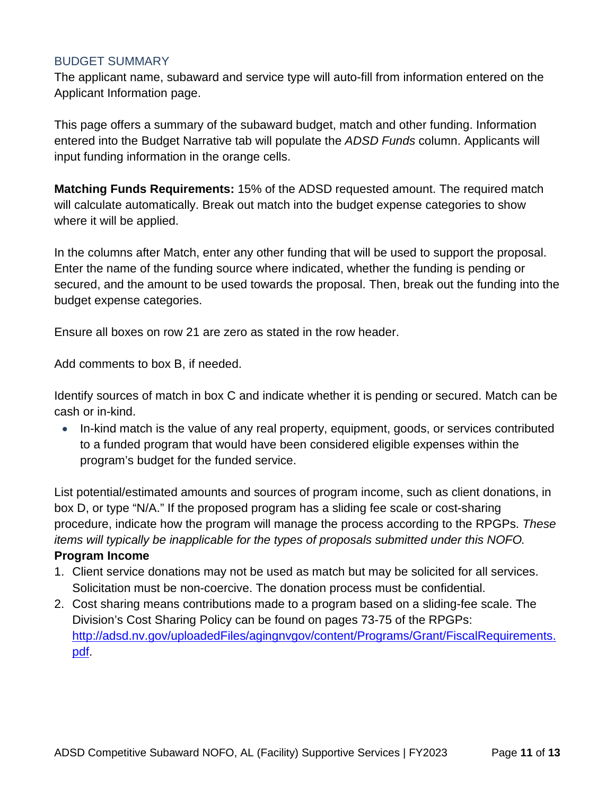### BUDGET SUMMARY

The applicant name, subaward and service type will auto-fill from information entered on the Applicant Information page.

This page offers a summary of the subaward budget, match and other funding. Information entered into the Budget Narrative tab will populate the *ADSD Funds* column. Applicants will input funding information in the orange cells.

**Matching Funds Requirements:** 15% of the ADSD requested amount. The required match will calculate automatically. Break out match into the budget expense categories to show where it will be applied.

In the columns after Match, enter any other funding that will be used to support the proposal. Enter the name of the funding source where indicated, whether the funding is pending or secured, and the amount to be used towards the proposal. Then, break out the funding into the budget expense categories.

Ensure all boxes on row 21 are zero as stated in the row header.

Add comments to box B, if needed.

Identify sources of match in box C and indicate whether it is pending or secured. Match can be cash or in-kind.

• In-kind match is the value of any real property, equipment, goods, or services contributed to a funded program that would have been considered eligible expenses within the program's budget for the funded service.

List potential/estimated amounts and sources of program income, such as client donations, in box D, or type "N/A." If the proposed program has a sliding fee scale or cost-sharing procedure, indicate how the program will manage the process according to the RPGPs. *These items will typically be inapplicable for the types of proposals submitted under this NOFO.*

#### **Program Income**

- 1. Client service donations may not be used as match but may be solicited for all services. Solicitation must be non-coercive. The donation process must be confidential.
- <span id="page-10-0"></span>2. Cost sharing means contributions made to a program based on a sliding-fee scale. The Division's Cost Sharing Policy can be found on pages 73-75 of the RPGPs: [http://adsd.nv.gov/uploadedFiles/agingnvgov/content/Programs/Grant/FiscalRequirements.](http://adsd.nv.gov/uploadedFiles/agingnvgov/content/Programs/Grant/FiscalRequirements.pdf) [pdf.](http://adsd.nv.gov/uploadedFiles/agingnvgov/content/Programs/Grant/FiscalRequirements.pdf)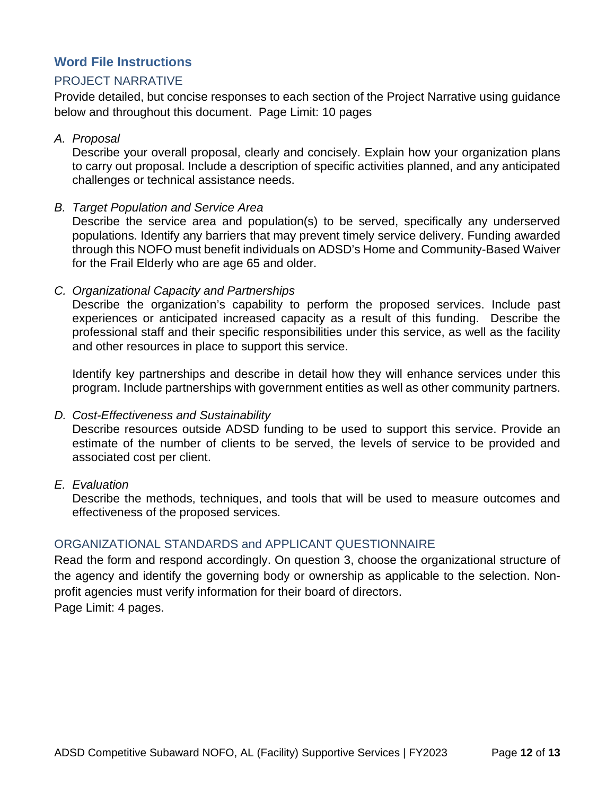## **Word File Instructions**

## PROJECT NARRATIVE

Provide detailed, but concise responses to each section of the Project Narrative using guidance below and throughout this document. Page Limit: 10 pages

#### *A. Proposal*

Describe your overall proposal, clearly and concisely. Explain how your organization plans to carry out proposal. Include a description of specific activities planned, and any anticipated challenges or technical assistance needs.

### *B. Target Population and Service Area*

Describe the service area and population(s) to be served, specifically any underserved populations. Identify any barriers that may prevent timely service delivery. Funding awarded through this NOFO must benefit individuals on ADSD's Home and Community-Based Waiver for the Frail Elderly who are age 65 and older.

#### *C. Organizational Capacity and Partnerships*

Describe the organization's capability to perform the proposed services. Include past experiences or anticipated increased capacity as a result of this funding. Describe the professional staff and their specific responsibilities under this service, as well as the facility and other resources in place to support this service.

Identify key partnerships and describe in detail how they will enhance services under this program. Include partnerships with government entities as well as other community partners.

### *D. Cost-Effectiveness and Sustainability*

Describe resources outside ADSD funding to be used to support this service. Provide an estimate of the number of clients to be served, the levels of service to be provided and associated cost per client.

#### *E. Evaluation*

Describe the methods, techniques, and tools that will be used to measure outcomes and effectiveness of the proposed services.

### ORGANIZATIONAL STANDARDS and APPLICANT QUESTIONNAIRE

Read the form and respond accordingly. On question 3, choose the organizational structure of the agency and identify the governing body or ownership as applicable to the selection. Nonprofit agencies must verify information for their board of directors. Page Limit: 4 pages.